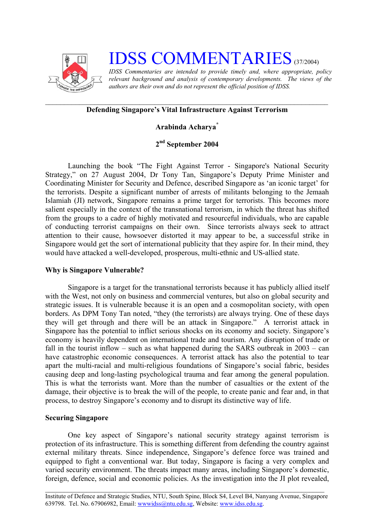

# **IDSS COMMENTARIES** (37/2004)

*IDSS Commentaries are intended to provide timely and, where appropriate, policy relevant background and analysis of contemporary developments. The views of the authors are their own and do not represent the official position of IDSS.* 

## **Defending Singapore's Vital Infrastructure Against Terrorism**

## **Arabinda Acharya[\\*](#page-2-0)**

## **2nd September 2004**

Launching the book "The Fight Against Terror - Singapore's National Security Strategy," on 27 August 2004, Dr Tony Tan, Singapore's Deputy Prime Minister and Coordinating Minister for Security and Defence, described Singapore as 'an iconic target' for the terrorists. Despite a significant number of arrests of militants belonging to the Jemaah Islamiah (JI) network, Singapore remains a prime target for terrorists. This becomes more salient especially in the context of the transnational terrorism, in which the threat has shifted from the groups to a cadre of highly motivated and resourceful individuals, who are capable of conducting terrorist campaigns on their own. Since terrorists always seek to attract attention to their cause, howsoever distorted it may appear to be, a successful strike in Singapore would get the sort of international publicity that they aspire for. In their mind, they would have attacked a well-developed, prosperous, multi-ethnic and US-allied state.

#### **Why is Singapore Vulnerable?**

Singapore is a target for the transnational terrorists because it has publicly allied itself with the West, not only on business and commercial ventures, but also on global security and strategic issues. It is vulnerable because it is an open and a cosmopolitan society, with open borders. As DPM Tony Tan noted, "they (the terrorists) are always trying. One of these days they will get through and there will be an attack in Singapore." A terrorist attack in Singapore has the potential to inflict serious shocks on its economy and society. Singapore's economy is heavily dependent on international trade and tourism. Any disruption of trade or fall in the tourist inflow – such as what happened during the SARS outbreak in  $2003 - \text{can}$ have catastrophic economic consequences. A terrorist attack has also the potential to tear apart the multi-racial and multi-religious foundations of Singapore's social fabric, besides causing deep and long-lasting psychological trauma and fear among the general population. This is what the terrorists want. More than the number of casualties or the extent of the damage, their objective is to break the will of the people, to create panic and fear and, in that process, to destroy Singapore's economy and to disrupt its distinctive way of life.

### **Securing Singapore**

One key aspect of Singapore's national security strategy against terrorism is protection of its infrastructure. This is something different from defending the country against external military threats. Since independence, Singapore's defence force was trained and equipped to fight a conventional war. But today, Singapore is facing a very complex and varied security environment. The threats impact many areas, including Singapore's domestic, foreign, defence, social and economic policies. As the investigation into the JI plot revealed,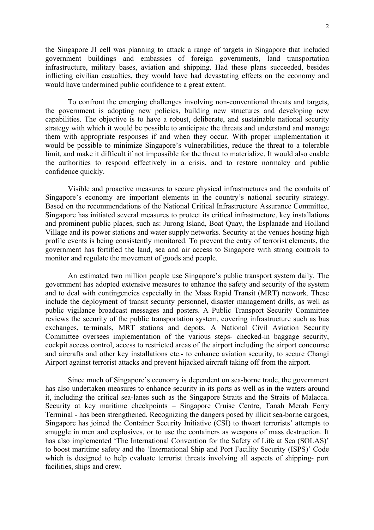the Singapore JI cell was planning to attack a range of targets in Singapore that included government buildings and embassies of foreign governments, land transportation infrastructure, military bases, aviation and shipping. Had these plans succeeded, besides inflicting civilian casualties, they would have had devastating effects on the economy and would have undermined public confidence to a great extent.

To confront the emerging challenges involving non-conventional threats and targets, the government is adopting new policies, building new structures and developing new capabilities. The objective is to have a robust, deliberate, and sustainable national security strategy with which it would be possible to anticipate the threats and understand and manage them with appropriate responses if and when they occur. With proper implementation it would be possible to minimize Singapore's vulnerabilities, reduce the threat to a tolerable limit, and make it difficult if not impossible for the threat to materialize. It would also enable the authorities to respond effectively in a crisis, and to restore normalcy and public confidence quickly.

Visible and proactive measures to secure physical infrastructures and the conduits of Singapore's economy are important elements in the country's national security strategy. Based on the recommendations of the National Critical Infrastructure Assurance Committee, Singapore has initiated several measures to protect its critical infrastructure, key installations and prominent public places, such as: Jurong Island, Boat Quay, the Esplanade and Holland Village and its power stations and water supply networks. Security at the venues hosting high profile events is being consistently monitored. To prevent the entry of terrorist elements, the government has fortified the land, sea and air access to Singapore with strong controls to monitor and regulate the movement of goods and people.

An estimated two million people use Singapore's public transport system daily. The government has adopted extensive measures to enhance the safety and security of the system and to deal with contingencies especially in the Mass Rapid Transit (MRT) network. These include the deployment of transit security personnel, disaster management drills, as well as public vigilance broadcast messages and posters. A Public Transport Security Committee reviews the security of the public transportation system, covering infrastructure such as bus exchanges, terminals, MRT stations and depots. A National Civil Aviation Security Committee oversees implementation of the various steps- checked-in baggage security, cockpit access control, access to restricted areas of the airport including the airport concourse and aircrafts and other key installations etc.- to enhance aviation security, to secure Changi Airport against terrorist attacks and prevent hijacked aircraft taking off from the airport.

Since much of Singapore's economy is dependent on sea-borne trade, the government has also undertaken measures to enhance security in its ports as well as in the waters around it, including the critical sea-lanes such as the Singapore Straits and the Straits of Malacca. Security at key maritime checkpoints – Singapore Cruise Centre, Tanah Merah Ferry Terminal - has been strengthened. Recognizing the dangers posed by illicit sea-borne cargoes, Singapore has joined the Container Security Initiative (CSI) to thwart terrorists' attempts to smuggle in men and explosives, or to use the containers as weapons of mass destruction. It has also implemented 'The International Convention for the Safety of Life at Sea (SOLAS)' to boost maritime safety and the 'International Ship and Port Facility Security (ISPS)' Code which is designed to help evaluate terrorist threats involving all aspects of shipping- port facilities, ships and crew.